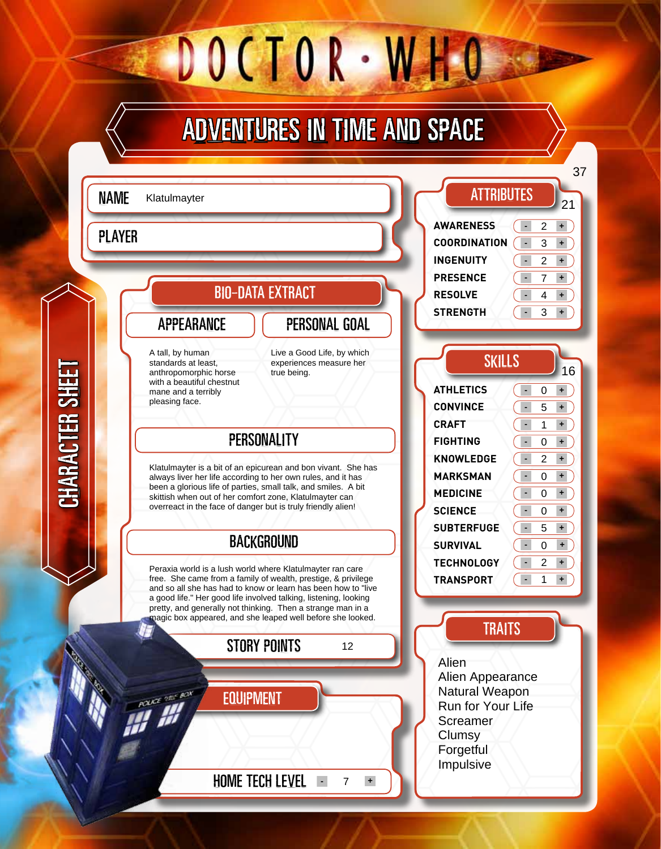